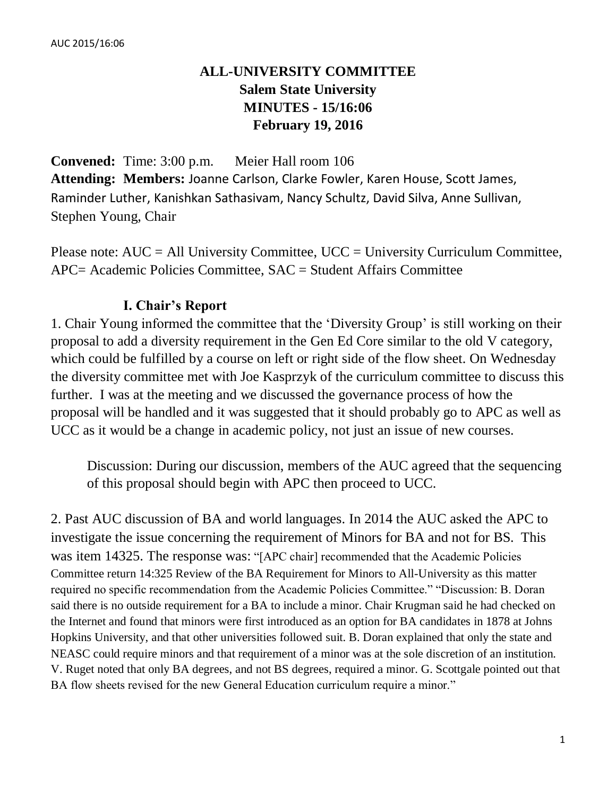# **ALL-UNIVERSITY COMMITTEE Salem State University MINUTES - 15/16:06 February 19, 2016**

**Convened:** Time: 3:00 p.m. Meier Hall room 106 **Attending: Members:** Joanne Carlson, Clarke Fowler, Karen House, Scott James, Raminder Luther, Kanishkan Sathasivam, Nancy Schultz, David Silva, Anne Sullivan, Stephen Young, Chair

Please note: AUC = All University Committee, UCC = University Curriculum Committee, APC= Academic Policies Committee, SAC = Student Affairs Committee

### **I. Chair's Report**

1. Chair Young informed the committee that the 'Diversity Group' is still working on their proposal to add a diversity requirement in the Gen Ed Core similar to the old V category, which could be fulfilled by a course on left or right side of the flow sheet. On Wednesday the diversity committee met with Joe Kasprzyk of the curriculum committee to discuss this further. I was at the meeting and we discussed the governance process of how the proposal will be handled and it was suggested that it should probably go to APC as well as UCC as it would be a change in academic policy, not just an issue of new courses.

Discussion: During our discussion, members of the AUC agreed that the sequencing of this proposal should begin with APC then proceed to UCC.

2. Past AUC discussion of BA and world languages. In 2014 the AUC asked the APC to investigate the issue concerning the requirement of Minors for BA and not for BS. This was item 14325. The response was: "[APC chair] recommended that the Academic Policies Committee return 14:325 Review of the BA Requirement for Minors to All-University as this matter required no specific recommendation from the Academic Policies Committee." "Discussion: B. Doran said there is no outside requirement for a BA to include a minor. Chair Krugman said he had checked on the Internet and found that minors were first introduced as an option for BA candidates in 1878 at Johns Hopkins University, and that other universities followed suit. B. Doran explained that only the state and NEASC could require minors and that requirement of a minor was at the sole discretion of an institution. V. Ruget noted that only BA degrees, and not BS degrees, required a minor. G. Scottgale pointed out that BA flow sheets revised for the new General Education curriculum require a minor."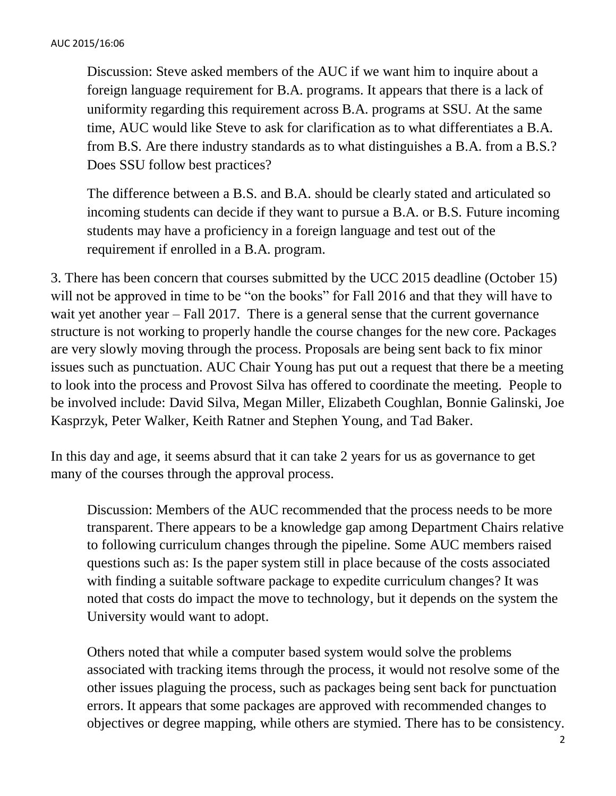Discussion: Steve asked members of the AUC if we want him to inquire about a foreign language requirement for B.A. programs. It appears that there is a lack of uniformity regarding this requirement across B.A. programs at SSU. At the same time, AUC would like Steve to ask for clarification as to what differentiates a B.A. from B.S. Are there industry standards as to what distinguishes a B.A. from a B.S.? Does SSU follow best practices?

The difference between a B.S. and B.A. should be clearly stated and articulated so incoming students can decide if they want to pursue a B.A. or B.S. Future incoming students may have a proficiency in a foreign language and test out of the requirement if enrolled in a B.A. program.

3. There has been concern that courses submitted by the UCC 2015 deadline (October 15) will not be approved in time to be "on the books" for Fall 2016 and that they will have to wait yet another year – Fall 2017. There is a general sense that the current governance structure is not working to properly handle the course changes for the new core. Packages are very slowly moving through the process. Proposals are being sent back to fix minor issues such as punctuation. AUC Chair Young has put out a request that there be a meeting to look into the process and Provost Silva has offered to coordinate the meeting. People to be involved include: David Silva, Megan Miller, Elizabeth Coughlan, Bonnie Galinski, Joe Kasprzyk, Peter Walker, Keith Ratner and Stephen Young, and Tad Baker.

In this day and age, it seems absurd that it can take 2 years for us as governance to get many of the courses through the approval process.

Discussion: Members of the AUC recommended that the process needs to be more transparent. There appears to be a knowledge gap among Department Chairs relative to following curriculum changes through the pipeline. Some AUC members raised questions such as: Is the paper system still in place because of the costs associated with finding a suitable software package to expedite curriculum changes? It was noted that costs do impact the move to technology, but it depends on the system the University would want to adopt.

Others noted that while a computer based system would solve the problems associated with tracking items through the process, it would not resolve some of the other issues plaguing the process, such as packages being sent back for punctuation errors. It appears that some packages are approved with recommended changes to objectives or degree mapping, while others are stymied. There has to be consistency.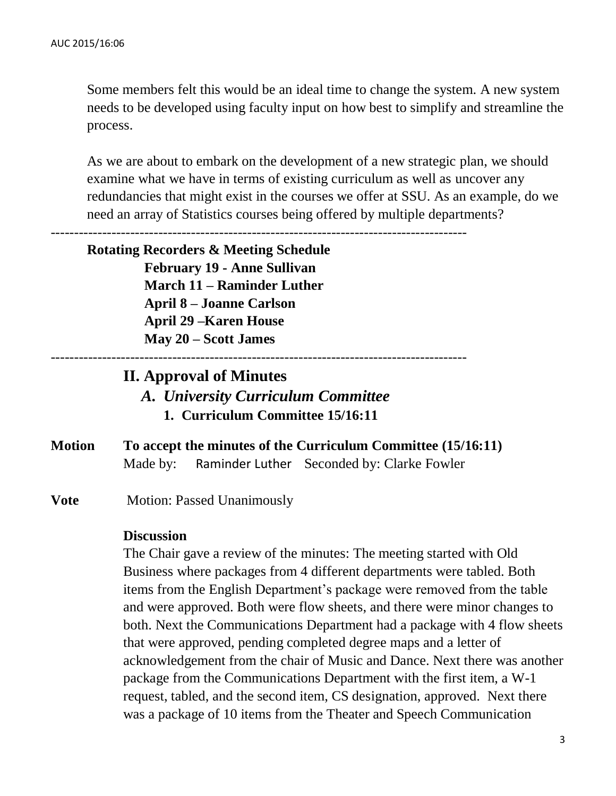Some members felt this would be an ideal time to change the system. A new system needs to be developed using faculty input on how best to simplify and streamline the process.

As we are about to embark on the development of a new strategic plan, we should examine what we have in terms of existing curriculum as well as uncover any redundancies that might exist in the courses we offer at SSU. As an example, do we need an array of Statistics courses being offered by multiple departments?

-----------------------------------------------------------------------------------------

## **Rotating Recorders & Meeting Schedule February 19 - Anne Sullivan March 11 – Raminder Luther April 8 – Joanne Carlson April 29 –Karen House May 20 – Scott James**

-----------------------------------------------------------------------------------------

## **II. Approval of Minutes** *A. University Curriculum Committee* **1. Curriculum Committee 15/16:11**

- **Motion To accept the minutes of the Curriculum Committee (15/16:11)** Made by: Raminder Luther Seconded by: Clarke Fowler
- **Vote** Motion: Passed Unanimously

#### **Discussion**

The Chair gave a review of the minutes: The meeting started with Old Business where packages from 4 different departments were tabled. Both items from the English Department's package were removed from the table and were approved. Both were flow sheets, and there were minor changes to both. Next the Communications Department had a package with 4 flow sheets that were approved, pending completed degree maps and a letter of acknowledgement from the chair of Music and Dance. Next there was another package from the Communications Department with the first item, a W-1 request, tabled, and the second item, CS designation, approved. Next there was a package of 10 items from the Theater and Speech Communication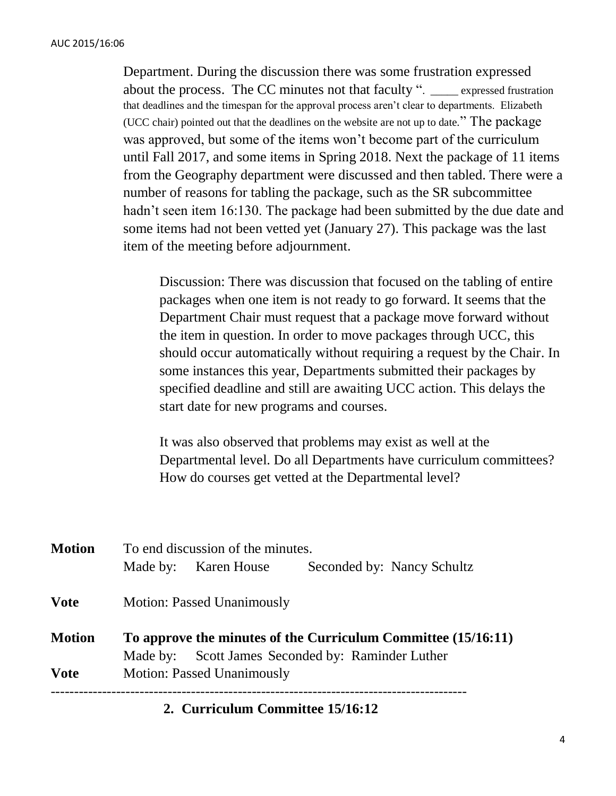Department. During the discussion there was some frustration expressed about the process. The CC minutes not that faculty ". expressed frustration that deadlines and the timespan for the approval process aren't clear to departments. Elizabeth (UCC chair) pointed out that the deadlines on the website are not up to date." The package was approved, but some of the items won't become part of the curriculum until Fall 2017, and some items in Spring 2018. Next the package of 11 items from the Geography department were discussed and then tabled. There were a number of reasons for tabling the package, such as the SR subcommittee hadn't seen item 16:130. The package had been submitted by the due date and some items had not been vetted yet (January 27). This package was the last item of the meeting before adjournment.

Discussion: There was discussion that focused on the tabling of entire packages when one item is not ready to go forward. It seems that the Department Chair must request that a package move forward without the item in question. In order to move packages through UCC, this should occur automatically without requiring a request by the Chair. In some instances this year, Departments submitted their packages by specified deadline and still are awaiting UCC action. This delays the start date for new programs and courses.

It was also observed that problems may exist as well at the Departmental level. Do all Departments have curriculum committees? How do courses get vetted at the Departmental level?

| <b>Motion</b> | To end discussion of the minutes.                             |                      |                            |  |  |  |  |
|---------------|---------------------------------------------------------------|----------------------|----------------------------|--|--|--|--|
|               |                                                               | Made by: Karen House | Seconded by: Nancy Schultz |  |  |  |  |
| <b>Vote</b>   | <b>Motion: Passed Unanimously</b>                             |                      |                            |  |  |  |  |
| <b>Motion</b> | To approve the minutes of the Curriculum Committee (15/16:11) |                      |                            |  |  |  |  |
|               | Made by: Scott James Seconded by: Raminder Luther             |                      |                            |  |  |  |  |
| <b>Vote</b>   | <b>Motion: Passed Unanimously</b>                             |                      |                            |  |  |  |  |
|               |                                                               |                      |                            |  |  |  |  |

**2. Curriculum Committee 15/16:12**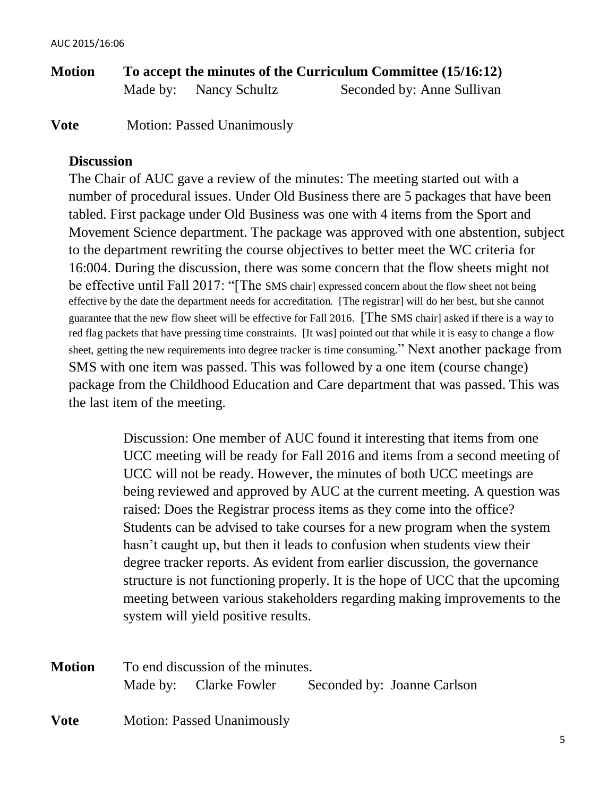**Motion To accept the minutes of the Curriculum Committee (15/16:12)** Made by: Nancy Schultz Seconded by: Anne Sullivan

**Vote** Motion: Passed Unanimously

### **Discussion**

The Chair of AUC gave a review of the minutes: The meeting started out with a number of procedural issues. Under Old Business there are 5 packages that have been tabled. First package under Old Business was one with 4 items from the Sport and Movement Science department. The package was approved with one abstention, subject to the department rewriting the course objectives to better meet the WC criteria for 16:004. During the discussion, there was some concern that the flow sheets might not be effective until Fall 2017: "[The SMS chair] expressed concern about the flow sheet not being effective by the date the department needs for accreditation. [The registrar] will do her best, but she cannot guarantee that the new flow sheet will be effective for Fall 2016. [The SMS chair] asked if there is a way to red flag packets that have pressing time constraints. [It was] pointed out that while it is easy to change a flow sheet, getting the new requirements into degree tracker is time consuming." Next another package from SMS with one item was passed. This was followed by a one item (course change) package from the Childhood Education and Care department that was passed. This was the last item of the meeting.

> Discussion: One member of AUC found it interesting that items from one UCC meeting will be ready for Fall 2016 and items from a second meeting of UCC will not be ready. However, the minutes of both UCC meetings are being reviewed and approved by AUC at the current meeting. A question was raised: Does the Registrar process items as they come into the office? Students can be advised to take courses for a new program when the system hasn't caught up, but then it leads to confusion when students view their degree tracker reports. As evident from earlier discussion, the governance structure is not functioning properly. It is the hope of UCC that the upcoming meeting between various stakeholders regarding making improvements to the system will yield positive results.

| <b>Motion</b> | To end discussion of the minutes. |                                   |  |                             |  |
|---------------|-----------------------------------|-----------------------------------|--|-----------------------------|--|
|               |                                   | Made by: Clarke Fowler            |  | Seconded by: Joanne Carlson |  |
| <b>Vote</b>   |                                   | <b>Motion: Passed Unanimously</b> |  |                             |  |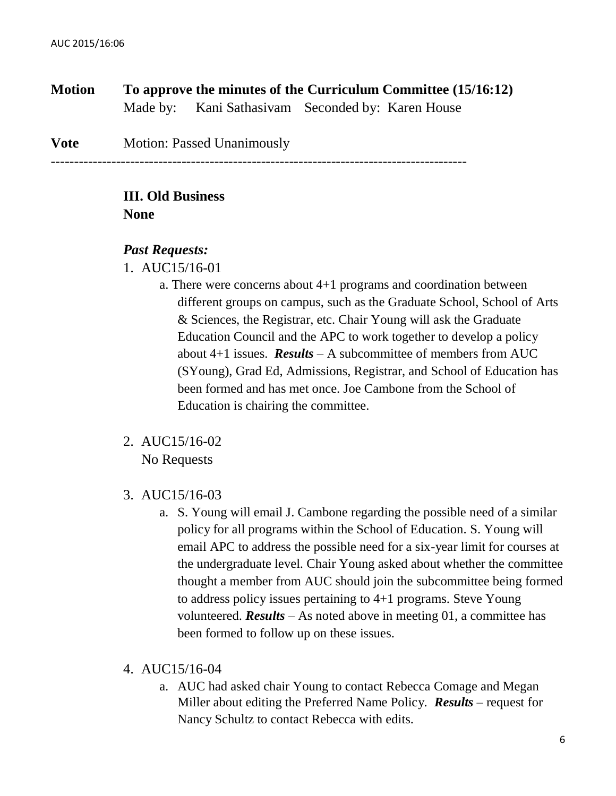**Motion To approve the minutes of the Curriculum Committee (15/16:12)**  Made by: Kani Sathasivam Seconded by: Karen House

**Vote** Motion: Passed Unanimously

-----------------------------------------------------------------------------------------

#### **III. Old Business None**

#### *Past Requests:*

- 1. AUC15/16-01
	- a. There were concerns about 4+1 programs and coordination between different groups on campus, such as the Graduate School, School of Arts & Sciences, the Registrar, etc. Chair Young will ask the Graduate Education Council and the APC to work together to develop a policy about 4+1 issues. *Results* – A subcommittee of members from AUC (SYoung), Grad Ed, Admissions, Registrar, and School of Education has been formed and has met once. Joe Cambone from the School of Education is chairing the committee.
- 2. AUC15/16-02 No Requests
- 3. AUC15/16-03
	- a. S. Young will email J. Cambone regarding the possible need of a similar policy for all programs within the School of Education. S. Young will email APC to address the possible need for a six-year limit for courses at the undergraduate level. Chair Young asked about whether the committee thought a member from AUC should join the subcommittee being formed to address policy issues pertaining to 4+1 programs. Steve Young volunteered. *Results* – As noted above in meeting 01, a committee has been formed to follow up on these issues.
- 4. AUC15/16-04
	- a. AUC had asked chair Young to contact Rebecca Comage and Megan Miller about editing the Preferred Name Policy. *Results* – request for Nancy Schultz to contact Rebecca with edits.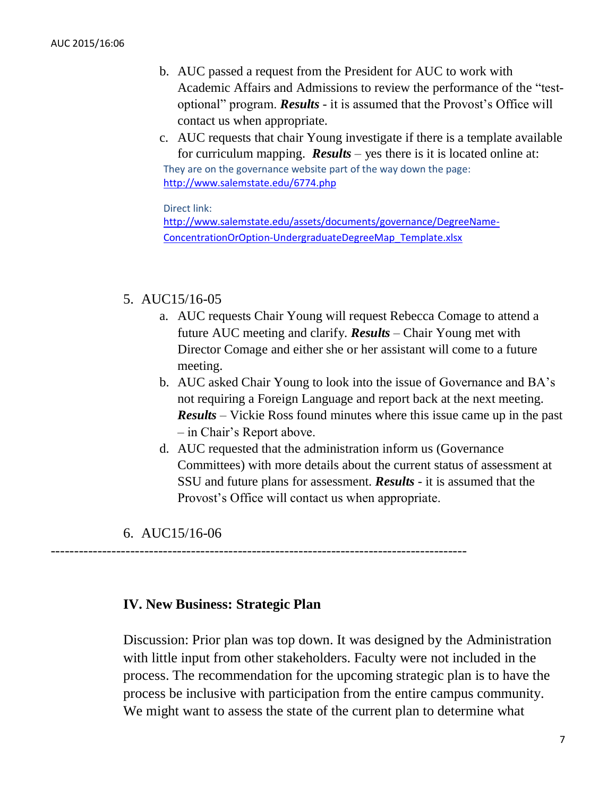- b. AUC passed a request from the President for AUC to work with Academic Affairs and Admissions to review the performance of the "testoptional" program. *Results* - it is assumed that the Provost's Office will contact us when appropriate.
- c. AUC requests that chair Young investigate if there is a template available for curriculum mapping. *Results* – yes there is it is located online at: They are on the governance website part of the way down the page: [http://www.salemstate.edu/6774.php](https://msmail.salemstate.edu/OWA/redir.aspx?C=oqrXcDJQhEu6kxy5FvjEp8eCoR0lPtMIFzd_vL_IoTiM8VsR7ADWy2fvionnKogwtfh6BrUNCsQ.&URL=http%3a%2f%2fwww.salemstate.edu%2f6774.php)

Direct link:

[http://www.salemstate.edu/assets/documents/governance/DegreeName-](http://www.salemstate.edu/assets/documents/governance/DegreeName-ConcentrationOrOption-UndergraduateDegreeMap_Template.xlsx)[ConcentrationOrOption-UndergraduateDegreeMap\\_Template.xlsx](http://www.salemstate.edu/assets/documents/governance/DegreeName-ConcentrationOrOption-UndergraduateDegreeMap_Template.xlsx)

#### 5. AUC15/16-05

- a. AUC requests Chair Young will request Rebecca Comage to attend a future AUC meeting and clarify. *Results* – Chair Young met with Director Comage and either she or her assistant will come to a future meeting.
- b. AUC asked Chair Young to look into the issue of Governance and BA's not requiring a Foreign Language and report back at the next meeting. *Results* – Vickie Ross found minutes where this issue came up in the past – in Chair's Report above.
- d. AUC requested that the administration inform us (Governance Committees) with more details about the current status of assessment at SSU and future plans for assessment. *Results* - it is assumed that the Provost's Office will contact us when appropriate.
- 6. AUC15/16-06

-----------------------------------------------------------------------------------------

### **IV. New Business: Strategic Plan**

Discussion: Prior plan was top down. It was designed by the Administration with little input from other stakeholders. Faculty were not included in the process. The recommendation for the upcoming strategic plan is to have the process be inclusive with participation from the entire campus community. We might want to assess the state of the current plan to determine what